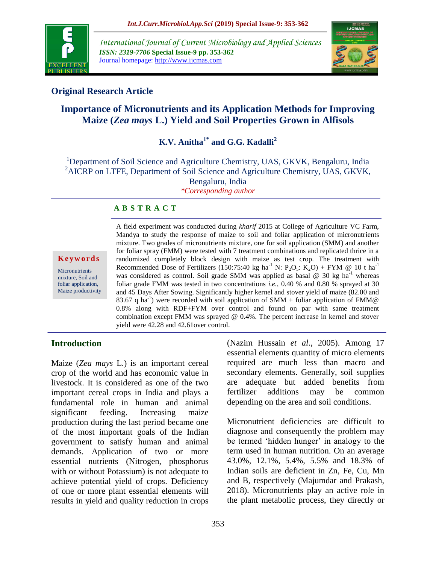

*International Journal of Current Microbiology and Applied Sciences ISSN: 2319-7706* **Special Issue-9 pp. 353-362** Journal homepage: http://www.ijcmas.com



### **Original Research Article**

# **Importance of Micronutrients and its Application Methods for Improving Maize (***Zea mays* **L.) Yield and Soil Properties Grown in Alfisols**

**K.V. Anitha1\* and G.G. Kadalli<sup>2</sup>**

<sup>1</sup>Department of Soil Science and Agriculture Chemistry, UAS, GKVK, Bengaluru, India <sup>2</sup>AICRP on LTFE, Department of Soil Science and Agriculture Chemistry, UAS, GKVK, Bengaluru, India *\*Corresponding author*

#### **A B S T R A C T**

**K e y w o r d s**

**Micronutrients** mixture, Soil and foliar application, Maize productivity A field experiment was conducted during *kharif* 2015 at College of Agriculture VC Farm, Mandya to study the response of maize to soil and foliar application of micronutrients mixture. Two grades of micronutrients mixture, one for soil application (SMM) and another for foliar spray (FMM) were tested with 7 treatment combinations and replicated thrice in a randomized completely block design with maize as test crop. The treatment with Recommended Dose of Fertilizers (150:75:40 kg ha<sup>-1</sup> N:  $P_2O_5$ : K<sub>2</sub>O) + FYM @ 10 t ha<sup>-1</sup> was considered as control. Soil grade SMM was applied as basal  $@$  30 kg ha<sup>-1</sup> whereas foliar grade FMM was tested in two concentrations *i.e.,* 0.40 % and 0.80 % sprayed at 30 and 45 Days After Sowing. Significantly higher kernel and stover yield of maize (82.00 and 83.67 q ha<sup>-1</sup>) were recorded with soil application of SMM + foliar application of FMM@ 0.8% along with RDF+FYM over control and found on par with same treatment combination except FMM was sprayed @ 0.4%. The percent increase in kernel and stover yield were 42.28 and 42.61over control.

### **Introduction**

Maize (*Zea mays* L.) is an important cereal crop of the world and has economic value in livestock. It is considered as one of the two important cereal crops in India and plays a fundamental role in human and animal significant feeding. Increasing maize production during the last period became one of the most important goals of the Indian government to satisfy human and animal demands. Application of two or more essential nutrients (Nitrogen, phosphorus with or without Potassium) is not adequate to achieve potential yield of crops. Deficiency of one or more plant essential elements will results in yield and quality reduction in crops (Nazim Hussain *et al*., 2005). Among 17 essential elements quantity of micro elements required are much less than macro and secondary elements. Generally, soil supplies are adequate but added benefits from fertilizer additions may be common depending on the area and soil conditions.

Micronutrient deficiencies are difficult to diagnose and consequently the problem may be termed 'hidden hunger' in analogy to the term used in human nutrition. On an average 43.0%, 12.1%, 5.4%, 5.5% and 18.3% of Indian soils are deficient in Zn, Fe, Cu, Mn and B, respectively (Majumdar and Prakash, 2018). Micronutrients play an active role in the plant metabolic process, they directly or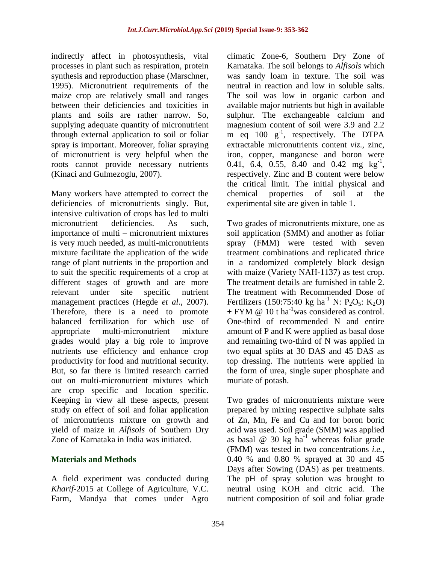indirectly affect in photosynthesis, vital processes in plant such as respiration, protein synthesis and reproduction phase (Marschner, 1995). Micronutrient requirements of the maize crop are relatively small and ranges between their deficiencies and toxicities in plants and soils are rather narrow. So, supplying adequate quantity of micronutrient through external application to soil or foliar spray is important. Moreover, foliar spraying of micronutrient is very helpful when the roots cannot provide necessary nutrients (Kinaci and Gulmezoglu, 2007).

Many workers have attempted to correct the deficiencies of micronutrients singly. But, intensive cultivation of crops has led to multi micronutrient deficiencies. As such, importance of multi – micronutrient mixtures is very much needed, as multi-micronutrients mixture facilitate the application of the wide range of plant nutrients in the proportion and to suit the specific requirements of a crop at different stages of growth and are more relevant under site specific nutrient management practices (Hegde *et al*., 2007). Therefore, there is a need to promote balanced fertilization for which use of appropriate multi-micronutrient mixture grades would play a big role to improve nutrients use efficiency and enhance crop productivity for food and nutritional security. But, so far there is limited research carried out on multi-micronutrient mixtures which are crop specific and location specific. Keeping in view all these aspects, present study on effect of soil and foliar application of micronutrients mixture on growth and yield of maize in *Alfisols* of Southern Dry Zone of Karnataka in India was initiated.

### **Materials and Methods**

A field experiment was conducted during *Kharif*-2015 at College of Agriculture, V.C. Farm, Mandya that comes under Agro climatic Zone-6, Southern Dry Zone of Karnataka. The soil belongs to *Alfisols* which was sandy loam in texture. The soil was neutral in reaction and low in soluble salts. The soil was low in organic carbon and available major nutrients but high in available sulphur. The exchangeable calcium and magnesium content of soil were 3.9 and 2.2 m eq  $100 \text{ g}^{-1}$ , respectively. The DTPA extractable micronutrients content *viz*., zinc, iron, copper, manganese and boron were 0.41, 6.4, 0.55, 8.40 and 0.42 mg  $\text{kg}^{-1}$ , respectively. Zinc and B content were below the critical limit. The initial physical and chemical properties of soil at the experimental site are given in table 1.

Two grades of micronutrients mixture, one as soil application (SMM) and another as foliar spray (FMM) were tested with seven treatment combinations and replicated thrice in a randomized completely block design with maize (Variety NAH-1137) as test crop. The treatment details are furnished in table 2. The treatment with Recommended Dose of Fertilizers (150:75:40 kg ha<sup>-1</sup> N: P<sub>2</sub>O<sub>5</sub>: K<sub>2</sub>O)  $+$  FYM @ 10 t ha<sup>-1</sup>was considered as control. One-third of recommended N and entire amount of P and K were applied as basal dose and remaining two-third of N was applied in two equal splits at 30 DAS and 45 DAS as top dressing. The nutrients were applied in the form of urea, single super phosphate and muriate of potash.

Two grades of micronutrients mixture were prepared by mixing respective sulphate salts of Zn, Mn, Fe and Cu and for boron boric acid was used. Soil grade (SMM) was applied as basal  $\omega$  30 kg ha<sup>-1</sup> whereas foliar grade (FMM) was tested in two concentrations *i.e.,*  0.40 % and 0.80 % sprayed at 30 and 45 Days after Sowing (DAS) as per treatments. The pH of spray solution was brought to neutral using KOH and citric acid. The nutrient composition of soil and foliar grade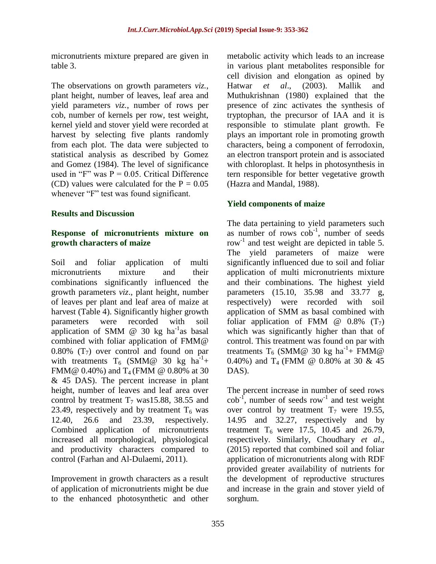micronutrients mixture prepared are given in table 3.

The observations on growth parameters *viz.*, plant height, number of leaves, leaf area and yield parameters *viz.*, number of rows per cob, number of kernels per row, test weight, kernel yield and stover yield were recorded at harvest by selecting five plants randomly from each plot. The data were subjected to statistical analysis as described by Gomez and Gomez (1984). The level of significance used in "F" was  $P = 0.05$ . Critical Difference (CD) values were calculated for the  $P = 0.05$ whenever "F" test was found significant.

### **Results and Discussion**

#### **Response of micronutrients mixture on growth characters of maize**

Soil and foliar application of multi micronutrients mixture and their combinations significantly influenced the growth parameters *viz*., plant height, number of leaves per plant and leaf area of maize at harvest (Table 4). Significantly higher growth parameters were recorded with soil application of SMM  $@$  30 kg ha<sup>-1</sup>as basal combined with foliar application of FMM@ 0.80%  $(T_7)$  over control and found on par with treatments T<sub>6</sub> (SMM@ 30 kg ha<sup>-1</sup>+ FMM@  $0.40\%$ ) and T<sub>4</sub> (FMM @  $0.80\%$  at 30 & 45 DAS). The percent increase in plant height, number of leaves and leaf area over control by treatment  $T_7$  was15.88, 38.55 and 23.49, respectively and by treatment  $T_6$  was<br>12.40, 26.6 and 23.39, respectively. 12.40, 26.6 and 23.39, respectively. Combined application of micronutrients increased all morphological, physiological and productivity characters compared to control (Farhan and Al-Dulaemi, 2011).

Improvement in growth characters as a result of application of micronutrients might be due to the enhanced photosynthetic and other

metabolic activity which leads to an increase in various plant metabolites responsible for cell division and elongation as opined by Hatwar *et al*., (2003). Mallik and Muthukrishnan (1980) explained that the presence of zinc activates the synthesis of tryptophan, the precursor of IAA and it is responsible to stimulate plant growth. Fe plays an important role in promoting growth characters, being a component of ferrodoxin, an electron transport protein and is associated with chloroplast. It helps in photosynthesis in tern responsible for better vegetative growth (Hazra and Mandal, 1988).

## **Yield components of maize**

The data pertaining to yield parameters such as number of rows  $\cosh^{-1}$ , number of seeds row<sup>-1</sup> and test weight are depicted in table 5. The yield parameters of maize were significantly influenced due to soil and foliar application of multi micronutrients mixture and their combinations. The highest yield parameters (15.10, 35.98 and 33.77 g, respectively) were recorded with soil application of SMM as basal combined with foliar application of FMM  $\omega$  0.8% (T<sub>7</sub>) which was significantly higher than that of control. This treatment was found on par with treatments T<sub>6</sub> (SMM@ 30 kg ha<sup>-1</sup>+ FMM@ 0.40%) and T4 (FMM @ 0.80% at 30 & 45 DAS).

The percent increase in number of seed rows  $\cosh^{-1}$ , number of seeds row<sup>-1</sup> and test weight over control by treatment  $T_7$  were 19.55, 14.95 and 32.27, respectively and by treatment  $T_6$  were 17.5, 10.45 and 26.79, respectively. Similarly, Choudhary *et al*., (2015) reported that combined soil and foliar application of micronutrients along with RDF provided greater availability of nutrients for the development of reproductive structures and increase in the grain and stover yield of sorghum.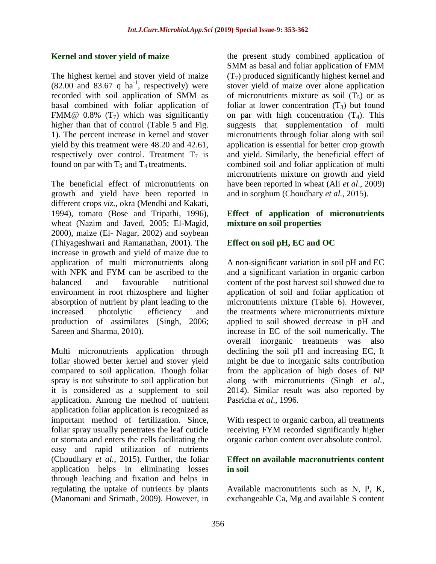#### **Kernel and stover yield of maize**

The highest kernel and stover yield of maize  $(82.00 \text{ and } 83.67 \text{ q ha}^{-1}$ , respectively) were recorded with soil application of SMM as basal combined with foliar application of FMM@  $0.8\%$  (T<sub>7</sub>) which was significantly higher than that of control (Table 5 and Fig. 1). The percent increase in kernel and stover yield by this treatment were 48.20 and 42.61, respectively over control. Treatment  $T_7$  is found on par with  $T_6$  and  $T_4$  treatments.

The beneficial effect of micronutrients on growth and yield have been reported in different crops *viz*., okra (Mendhi and Kakati, 1994), tomato (Bose and Tripathi, 1996), wheat (Nazim and Javed, 2005; El-Magid, 2000), maize (El- Nagar, 2002) and soybean (Thiyageshwari and Ramanathan, 2001). The increase in growth and yield of maize due to application of multi micronutrients along with NPK and FYM can be ascribed to the balanced and favourable nutritional environment in root rhizosphere and higher absorption of nutrient by plant leading to the increased photolytic efficiency and production of assimilates (Singh, 2006; Sareen and Sharma, 2010).

Multi micronutrients application through foliar showed better kernel and stover yield compared to soil application. Though foliar spray is not substitute to soil application but it is considered as a supplement to soil application. Among the method of nutrient application foliar application is recognized as important method of fertilization. Since, foliar spray usually penetrates the leaf cuticle or stomata and enters the cells facilitating the easy and rapid utilization of nutrients (Choudhary *et al.,* 2015). Further, the foliar application helps in eliminating losses through leaching and fixation and helps in regulating the uptake of nutrients by plants (Manomani and Srimath, 2009). However, in

the present study combined application of SMM as basal and foliar application of FMM  $(T<sub>7</sub>)$  produced significantly highest kernel and stover yield of maize over alone application of micronutrients mixture as soil  $(T_5)$  or as foliar at lower concentration  $(T_3)$  but found on par with high concentration  $(T_4)$ . This suggests that supplementation of multi micronutrients through foliar along with soil application is essential for better crop growth and yield. Similarly, the beneficial effect of combined soil and foliar application of multi micronutrients mixture on growth and yield have been reported in wheat (Ali *et al*., 2009) and in sorghum (Choudhary *et al.,* 2015).

### **Effect of application of micronutrients mixture on soil properties**

### **Effect on soil pH, EC and OC**

A non-significant variation in soil pH and EC and a significant variation in organic carbon content of the post harvest soil showed due to application of soil and foliar application of micronutrients mixture (Table 6). However, the treatments where micronutrients mixture applied to soil showed decrease in pH and increase in EC of the soil numerically. The overall inorganic treatments was also declining the soil pH and increasing EC, It might be due to inorganic salts contribution from the application of high doses of NP along with micronutrients (Singh *et al*., 2014). Similar result was also reported by Pasricha *et al*., 1996.

With respect to organic carbon, all treatments receiving FYM recorded significantly higher organic carbon content over absolute control.

#### **Effect on available macronutrients content in soil**

Available macronutrients such as N, P, K, exchangeable Ca, Mg and available S content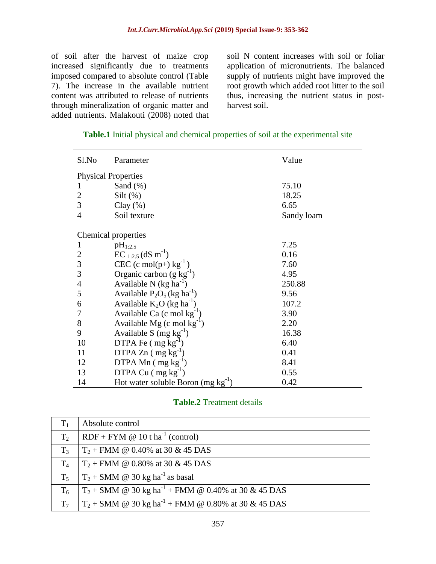of soil after the harvest of maize crop increased significantly due to treatments imposed compared to absolute control (Table 7). The increase in the available nutrient content was attributed to release of nutrients through mineralization of organic matter and added nutrients. Malakouti (2008) noted that

soil N content increases with soil or foliar application of micronutrients. The balanced supply of nutrients might have improved the root growth which added root litter to the soil thus, increasing the nutrient status in postharvest soil.

| Sl.No                      | Parameter                                 | Value      |  |  |  |  |
|----------------------------|-------------------------------------------|------------|--|--|--|--|
| <b>Physical Properties</b> |                                           |            |  |  |  |  |
| 1                          | Sand $(\%)$                               | 75.10      |  |  |  |  |
| $\overline{2}$             | $Silt$ (%)                                | 18.25      |  |  |  |  |
| 3                          | Clay $(\% )$                              | 6.65       |  |  |  |  |
| $\overline{4}$             | Soil texture                              | Sandy loam |  |  |  |  |
|                            | Chemical properties                       |            |  |  |  |  |
| 1                          | $pH_{1:2.5}$                              | 7.25       |  |  |  |  |
| 2                          | $EC_{1:2.5}$ (dS m <sup>-1</sup> )        | 0.16       |  |  |  |  |
| 3                          | CEC (c mol(p+) $kg^{-1}$ )                | 7.60       |  |  |  |  |
| 3                          | Organic carbon $(g \text{ kg}^{-1})$      | 4.95       |  |  |  |  |
| $\overline{4}$             | Available N $(kg ha^{-1})$                | 250.88     |  |  |  |  |
| 5                          | Available $P_2O_5$ (kg ha <sup>-1</sup> ) | 9.56       |  |  |  |  |
| 6                          | Available $K_2O$ (kg ha <sup>-1</sup> )   | 107.2      |  |  |  |  |
| 7                          | Available Ca (c mol $kg^{-1}$ )           | 3.90       |  |  |  |  |
| $8\,$                      | Available Mg (c mol $kg^{-1}$ )           | 2.20       |  |  |  |  |
| 9                          | Available S $(mg kg^{-1})$                | 16.38      |  |  |  |  |
| 10                         | DTPA Fe $(mg kg^{-1})$                    | 6.40       |  |  |  |  |
| 11                         | DTPA $Zn$ (mg kg <sup>-1</sup> )          | 0.41       |  |  |  |  |
| 12                         | DTPA Mn $(mg kg^{-1})$                    | 8.41       |  |  |  |  |
| 13                         | DTPA Cu $(mg kg^{-1})$                    | 0.55       |  |  |  |  |
| 14                         | Hot water soluble Boron $(mg kg^{-1})$    | 0.42       |  |  |  |  |

#### **Table.1** Initial physical and chemical properties of soil at the experimental site

#### **Table.2** Treatment details

| $T_1$          | Absolute control                                                  |
|----------------|-------------------------------------------------------------------|
| T <sub>2</sub> | $RDF + FYM \otimes 10$ t ha <sup>-1</sup> (control)               |
| $T_3$          | $T_2$ + FMM @ 0.40% at 30 & 45 DAS                                |
| T <sub>4</sub> | $T_2$ + FMM @ 0.80% at 30 & 45 DAS                                |
| T <sub>5</sub> | $T_2$ + SMM @ 30 kg ha <sup>-1</sup> as basal                     |
| $T_6$          | $T_2$ + SMM @ 30 kg ha <sup>-1</sup> + FMM @ 0.40% at 30 & 45 DAS |
| T <sub>7</sub> | $T_2$ + SMM @ 30 kg ha <sup>-1</sup> + FMM @ 0.80% at 30 & 45 DAS |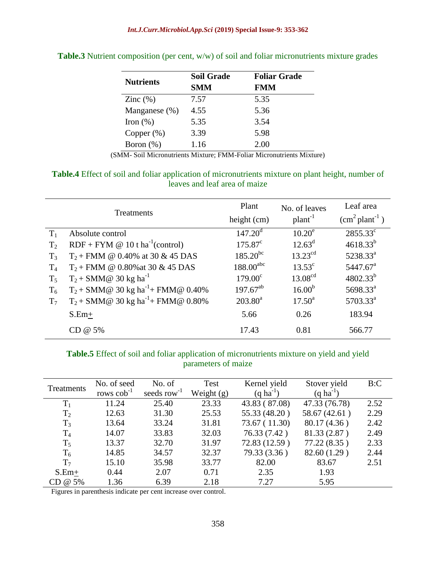| <b>Nutrients</b> | <b>Soil Grade</b> | <b>Foliar Grade</b> |
|------------------|-------------------|---------------------|
|                  | <b>SMM</b>        | <b>FMM</b>          |
| Zinc $(\%)$      | 7.57              | 5.35                |
| Manganese $(\%)$ | 4.55              | 5.36                |
| Iron $(\%)$      | 5.35              | 3.54                |
| Copper $(\%)$    | 3.39              | 5.98                |
| Boron $(\%)$     | 1.16              | 2.00                |

**Table.3** Nutrient composition (per cent, w/w) of soil and foliar micronutrients mixture grades

(SMM- Soil Micronutrients Mixture; FMM-Foliar Micronutrients Mixture)

### **Table.4** Effect of soil and foliar application of micronutrients mixture on plant height, number of leaves and leaf area of maize

| Treatments     |                                                     | Plant                   | No. of leaves         | Leaf area                        |
|----------------|-----------------------------------------------------|-------------------------|-----------------------|----------------------------------|
|                |                                                     | height (cm)             | $plan-1$              | $\text{cm}^2\text{plant}^{-1}$ ) |
| $T_1$          | Absolute control                                    | $147.20^{\rm d}$        | $10.20^e$             | $2855.33^{\circ}$                |
| T <sub>2</sub> | $RDF + FYM \otimes 10$ t ha <sup>-1</sup> (control) | $175.87^{\circ}$        | $12.63^{\rm d}$       | $4618.33^{b}$                    |
| $T_3$          | $T_2$ + FMM @ 0.40% at 30 & 45 DAS                  | $185.20^{bc}$           | $13.23$ <sup>cd</sup> | $5238.33^a$                      |
| T <sub>4</sub> | $T_2$ + FMM @ 0.80% at 30 & 45 DAS                  | $188.00$ <sup>abc</sup> | $13.53^{\circ}$       | $5447.67^{\text{a}}$             |
| $T_5$          | $T_2$ + SMM@ 30 kg ha <sup>-1</sup>                 | $179.00^{\circ}$        | 13.08 <sup>cd</sup>   | $4802.33^{b}$                    |
| $T_6$          | $T_2 + SMM@30 kg ha^{-1} + FMM@0.40%$               | $197.67^{ab}$           | 16.00 <sup>b</sup>    | 5698.33 <sup>a</sup>             |
| T <sub>7</sub> | $T_2$ + SMM@ 30 kg ha <sup>-1</sup> + FMM@ 0.80%    | $203.80^a$              | $17.50^{\rm a}$       | $5703.33^a$                      |
|                | $S.Em+$                                             | 5.66                    | 0.26                  | 183.94                           |
|                | CD @ 5%                                             | 17.43                   | 0.81                  | 566.77                           |

### **Table.5** Effect of soil and foliar application of micronutrients mixture on yield and yield parameters of maize

| Treatments     | No. of seed       | No. of            | Test         | Kernel yield     | Stover yield          | B:C  |
|----------------|-------------------|-------------------|--------------|------------------|-----------------------|------|
|                | rows $\cosh^{-1}$ | seeds row $^{-1}$ | Weight $(g)$ | $(q \, ha^{-1})$ | $(q \text{ ha}^{-1})$ |      |
| $T_1$          | 11.24             | 25.40             | 23.33        | 43.83 (87.08)    | 47.33 (76.78)         | 2.52 |
| T <sub>2</sub> | 12.63             | 31.30             | 25.53        | 55.33 (48.20)    | 58.67 (42.61)         | 2.29 |
| $T_3$          | 13.64             | 33.24             | 31.81        | 73.67 (11.30)    | 80.17 (4.36)          | 2.42 |
| $T_4$          | 14.07             | 33.83             | 32.03        | 76.33 (7.42)     | 81.33 (2.87)          | 2.49 |
| $T_5$          | 13.37             | 32.70             | 31.97        | 72.83 (12.59)    | 77.22(8.35)           | 2.33 |
| $T_6$          | 14.85             | 34.57             | 32.37        | 79.33 (3.36)     | 82.60 (1.29)          | 2.44 |
| T <sub>7</sub> | 15.10             | 35.98             | 33.77        | 82.00            | 83.67                 | 2.51 |
| $S.Em+$        | 0.44              | 2.07              | 0.71         | 2.35             | 1.93                  |      |
| CD @ 5%        | 1.36              | 6.39              | 2.18         | 7.27             | 5.95                  |      |

Figures in parenthesis indicate per cent increase over control.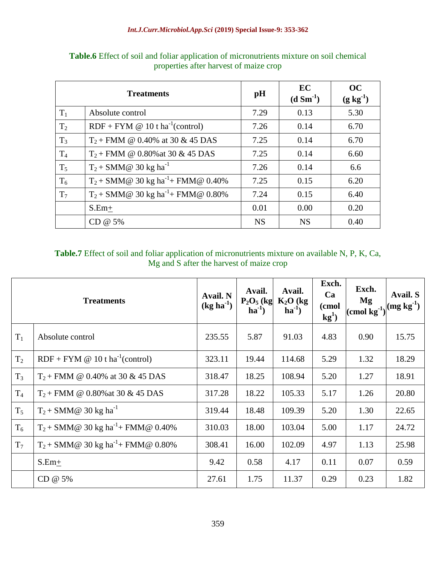| <b>Treatments</b> |                                                     | pH        | EC<br>$(d \text{ Sm}^{-1})$ | <b>OC</b><br>$(g kg^{-1})$ |
|-------------------|-----------------------------------------------------|-----------|-----------------------------|----------------------------|
| $T_1$             | Absolute control                                    | 7.29      | 0.13                        | 5.30                       |
| T <sub>2</sub>    | $RDF + FYM \otimes 10$ t ha <sup>-1</sup> (control) | 7.26      | 0.14                        | 6.70                       |
| $T_3$             | $T_2$ + FMM @ 0.40% at 30 & 45 DAS                  | 7.25      | 0.14                        | 6.70                       |
| $T_4$             | $T_2$ + FMM @ 0.80% at 30 & 45 DAS                  | 7.25      | 0.14                        | 6.60                       |
| $T_5$             | $T_2$ + SMM@ 30 kg ha <sup>-1</sup>                 | 7.26      | 0.14                        | 6.6                        |
| $T_6$             | $T_2$ + SMM@ 30 kg ha <sup>-1</sup> + FMM@ 0.40%    | 7.25      | 0.15                        | 6.20                       |
| T <sub>7</sub>    | $T_2$ + SMM@ 30 kg ha <sup>-1</sup> + FMM@ 0.80%    | 7.24      | 0.15                        | 6.40                       |
|                   | $S.Em+$                                             | 0.01      | 0.00                        | 0.20                       |
|                   | CD @ 5%                                             | <b>NS</b> | <b>NS</b>                   | 0.40                       |

**Table.6** Effect of soil and foliar application of micronutrients mixture on soil chemical properties after harvest of maize crop

### **Table.7** Effect of soil and foliar application of micronutrients mixture on available N, P, K, Ca, Mg and S after the harvest of maize crop

| <b>Treatments</b> |                                                     | Avail. N<br>$(kg ha-1)$ | Avail.<br>$P_2O_5$ (kg<br>$ha^{-1}$ | Avail.<br>$K_2O$ (kg<br>$ha^{-1}$ | Exch.<br>Ca<br>(cmol<br>$kg1$ ) | Exch.<br>Mg<br>$ (\text{cmol }\overset{\smile}{\text{kg}}^{1}) ^{(mg\; \text{kg}^{-1})}$ | Avail. S |
|-------------------|-----------------------------------------------------|-------------------------|-------------------------------------|-----------------------------------|---------------------------------|------------------------------------------------------------------------------------------|----------|
| $T_1$             | Absolute control                                    | 235.55                  | 5.87                                | 91.03                             | 4.83                            | 0.90                                                                                     | 15.75    |
| T <sub>2</sub>    | $RDF + FYM \otimes 10$ t ha <sup>-1</sup> (control) | 323.11                  | 19.44                               | 114.68                            | 5.29                            | 1.32                                                                                     | 18.29    |
| $T_3$             | $T_2$ + FMM @ 0.40% at 30 & 45 DAS                  | 318.47                  | 18.25                               | 108.94                            | 5.20                            | 1.27                                                                                     | 18.91    |
| T <sub>4</sub>    | $T_2$ + FMM @ 0.80% at 30 & 45 DAS                  | 317.28                  | 18.22                               | 105.33                            | 5.17                            | 1.26                                                                                     | 20.80    |
| $T_5$             | $T_2$ + SMM@ 30 kg ha <sup>-1</sup>                 | 319.44                  | 18.48                               | 109.39                            | 5.20                            | 1.30                                                                                     | 22.65    |
| $T_6$             | $T_2$ + SMM@ 30 kg ha <sup>-1</sup> + FMM@ 0.40%    | 310.03                  | 18.00                               | 103.04                            | 5.00                            | 1.17                                                                                     | 24.72    |
| $T_7$             | $T_2$ + SMM@ 30 kg ha <sup>-1</sup> + FMM@ 0.80%    | 308.41                  | 16.00                               | 102.09                            | 4.97                            | 1.13                                                                                     | 25.98    |
|                   | $S.Em+$                                             | 9.42                    | 0.58                                | 4.17                              | 0.11                            | 0.07                                                                                     | 0.59     |
|                   | CD @ 5%                                             | 27.61                   | 1.75                                | 11.37                             | 0.29                            | 0.23                                                                                     | 1.82     |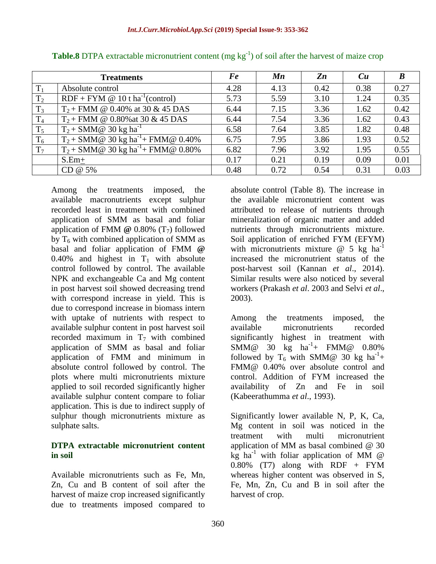|       | <b>Treatments</b>                                   | Fe   | $\boldsymbol{M}\boldsymbol{n}$ | $\mathbf{Z}n$ | Cu   | B    |
|-------|-----------------------------------------------------|------|--------------------------------|---------------|------|------|
| $T_1$ | Absolute control                                    | 4.28 | 4.13                           | 0.42          | 0.38 | 0.27 |
| $T_2$ | $RDF + FYM \otimes 10$ t ha <sup>-1</sup> (control) | 5.73 | 5.59                           | 3.10          | 1.24 | 0.35 |
| $T_3$ | $T_2$ + FMM @ 0.40% at 30 & 45 DAS                  | 6.44 | 7.15                           | 3.36          | 1.62 | 0.42 |
| $T_4$ | $T_2$ + FMM @ 0.80% at 30 & 45 DAS                  | 6.44 | 7.54                           | 3.36          | 1.62 | 0.43 |
| $T_5$ | $T_2$ + SMM@ 30 kg ha <sup>-1</sup>                 | 6.58 | 7.64                           | 3.85          | 1.82 | 0.48 |
| $T_6$ | $T_2$ + SMM@ 30 kg ha <sup>-1</sup> + FMM@ 0.40%    | 6.75 | 7.95                           | 3.86          | 1.93 | 0.52 |
| $T_7$ | $T_2$ + SMM@ 30 kg ha <sup>-1</sup> + FMM@ 0.80%    | 6.82 | 7.96                           | 3.92          | 1.95 | 0.55 |
|       | $S.Em+$                                             | 0.17 | 0.21                           | 0.19          | 0.09 | 0.01 |
|       | CD @ 5%                                             | 0.48 | 0.72                           | 0.54          | 0.31 | 0.03 |

**Table.8** DTPA extractable micronutrient content (mg kg<sup>-1</sup>) of soil after the harvest of maize crop

Among the treatments imposed, the available macronutrients except sulphur recorded least in treatment with combined application of SMM as basal and foliar application of FMM **@** 0.80% (T7) followed by  $T<sub>6</sub>$  with combined application of SMM as basal and foliar application of FMM **@**  0.40% and highest in  $T_1$  with absolute control followed by control. The available NPK and exchangeable Ca and Mg content in post harvest soil showed decreasing trend with correspond increase in yield. This is due to correspond increase in biomass intern with uptake of nutrients with respect to available sulphur content in post harvest soil recorded maximum in  $T_7$  with combined application of SMM as basal and foliar application of FMM and minimum in absolute control followed by control. The plots where multi micronutrients mixture applied to soil recorded significantly higher available sulphur content compare to foliar application. This is due to indirect supply of sulphur though micronutrients mixture as sulphate salts.

#### **DTPA extractable micronutrient content in soil**

Available micronutrients such as Fe, Mn, Zn, Cu and B content of soil after the harvest of maize crop increased significantly due to treatments imposed compared to

absolute control (Table 8). The increase in the available micronutrient content was attributed to release of nutrients through mineralization of organic matter and added nutrients through micronutrients mixture. Soil application of enriched FYM (EFYM) with micronutrients mixture  $\omega$  5 kg ha<sup>-1</sup> increased the micronutrient status of the post-harvest soil (Kannan *et al*., 2014). Similar results were also noticed by several workers (Prakash *et al*. 2003 and Selvi *et al*., 2003).

Among the treatments imposed, the available micronutrients recorded significantly highest in treatment with  $SMM@$  30 kg ha<sup>-1</sup>+ FMM@ 0.80% followed by  $T_6$  with SMM@ 30 kg ha<sup>-1</sup>+ FMM@ 0.40% over absolute control and control. Addition of FYM increased the availability of Zn and Fe in soil (Kabeerathumma *et al*., 1993).

Significantly lower available N, P, K, Ca, Mg content in soil was noticed in the treatment with multi micronutrient application of MM as basal combined @ 30  $kg$  ha<sup>-1</sup> with foliar application of MM @  $0.80\%$  (T7) along with RDF + FYM whereas higher content was observed in S, Fe, Mn, Zn, Cu and B in soil after the harvest of crop.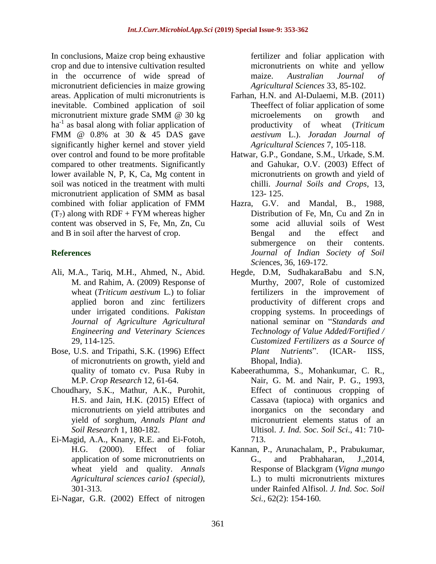In conclusions, Maize crop being exhaustive crop and due to intensive cultivation resulted in the occurrence of wide spread of micronutrient deficiencies in maize growing areas. Application of multi micronutrients is inevitable. Combined application of soil micronutrient mixture grade SMM @ 30 kg ha<sup>-1</sup> as basal along with foliar application of FMM @ 0.8% at 30 & 45 DAS gave significantly higher kernel and stover yield over control and found to be more profitable compared to other treatments. Significantly lower available N, P, K, Ca, Mg content in soil was noticed in the treatment with multi micronutrient application of SMM as basal combined with foliar application of FMM  $(T<sub>7</sub>)$  along with RDF + FYM whereas higher content was observed in S, Fe, Mn, Zn, Cu and B in soil after the harvest of crop.

### **References**

- Ali, M.A., Tariq, M.H., Ahmed, N., Abid. M. and Rahim, A. (2009) Response of wheat (*Triticum aestivum* L.) to foliar applied boron and zinc fertilizers under irrigated conditions. *Pakistan Journal of Agriculture Agricultural Engineering and Veterinary Sciences*  29, 114-125.
- Bose, U.S. and Tripathi, S.K. (1996) Effect of micronutrients on growth, yield and quality of tomato cv. Pusa Ruby in M.P. *Crop Research* 12, 61-64.
- Choudhary, S.K., Mathur, A.K., Purohit, H.S. and Jain, H.K. (2015) Effect of micronutrients on yield attributes and yield of sorghum, *Annals Plant and Soil Research* 1, 180-182.
- Ei-Magid, A.A., Knany, R.E. and Ei-Fotoh, H.G. (2000). Effect of foliar application of some micronutrients on wheat yield and quality. *Annals Agricultural sciences cario1 (special)*, 301-313.
- Ei-Nagar, G.R. (2002) Effect of nitrogen

fertilizer and foliar application with micronutrients on white and yellow maize. *Australian Journal of Agricultural Sciences* 33, 85-102.

- Farhan, H.N. and Al-Dulaemi, M.B. (2011) Theeffect of foliar application of some microelements on growth and productivity of wheat (*Triticum aestivum* L.). *Joradan Journal of Agricultural Sciences* 7, 105-118.
- Hatwar, G.P., Gondane, S.M., Urkade, S.M. and Gahukar, O.V. (2003) Effect of micronutrients on growth and yield of chilli. *Journal Soils and Crops*, 13, 123- 125.
- Hazra, G.V. and Mandal, B., 1988, Distribution of Fe, Mn, Cu and Zn in some acid alluvial soils of West Bengal and the effect and submergence on their contents. *Journal of Indian Society of Soil Sci*ences, 36, 169-172.
- Hegde, D.M, SudhakaraBabu and S.N, Murthy, 2007, Role of customized fertilizers in the improvement of productivity of different crops and cropping systems. In proceedings of national seminar on "*Standards and Technology of Value Added/Fortified / Customized Fertilizers as a Source of Plant Nutrients*". (ICAR- IISS, Bhopal, India).
- Kabeerathumma, S., Mohankumar, C. R., Nair, G. M. and Nair, P. G., 1993, Effect of continuous cropping of Cassava (tapioca) with organics and inorganics on the secondary and micronutrient elements status of an Ultisol. *J*. *Ind. Soc*. *Soil Sci*., 41: 710- 713.
- Kannan, P., Arunachalam, P., Prabukumar, G., and Prabhaharan, J.,2014, Response of Blackgram (*Vigna mungo* L.) to multi micronutrients mixtures under Rainfed Alfisol. *J. Ind. Soc. Soil Sci.,* 62(2): 154-160*.*